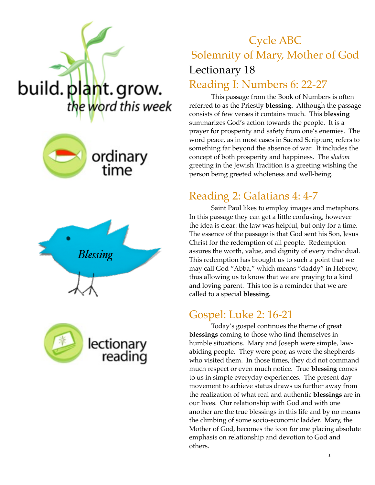1

# Cycle ABC Solemnity of Mary, Mother of God

This passage from the Book of Numbers is often referred to as the Priestly **blessing.** Although the passage consists of few verses it contains much. This **blessing**  summarizes God's action towards the people. It is a prayer for prosperity and safety from one's enemies. The word peace, as in most cases in Sacred Scripture, refers to something far beyond the absence of war. It includes the concept of both prosperity and happiness. The *shalom*  greeting in the Jewish Tradition is a greeting wishing the person being greeted wholeness and well-being.

## Reading 2: Galatians 4: 4-7

Saint Paul likes to employ images and metaphors. In this passage they can get a little confusing, however the idea is clear: the law was helpful, but only for a time. The essence of the passage is that God sent his Son, Jesus Christ for the redemption of all people. Redemption assures the worth, value, and dignity of every individual. This redemption has brought us to such a point that we may call God "Abba," which means "daddy" in Hebrew, thus allowing us to know that we are praying to a kind and loving parent. This too is a reminder that we are called to a special **blessing.**

## Gospel: Luke 2: 16-21

Today's gospel continues the theme of great **blessings** coming to those who find themselves in humble situations. Mary and Joseph were simple, lawabiding people. They were poor, as were the shepherds who visited them. In those times, they did not command much respect or even much notice. True **blessing** comes to us in simple everyday experiences. The present day movement to achieve status draws us further away from the realization of what real and authentic **blessings** are in our lives. Our relationship with God and with one another are the true blessings in this life and by no means the climbing of some socio-economic ladder. Mary, the Mother of God, becomes the icon for one placing absolute emphasis on relationship and devotion to God and others.







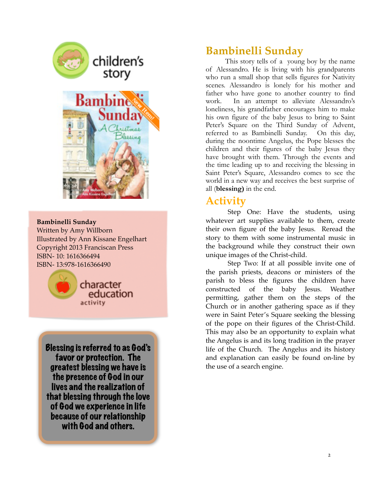

**Bambinelli Sunday** Written by Amy Willborn Illustrated by Ann Kissane Engelhart Copyright 2013 Franciscan Press ISBN- 10: 1616366494 ISBN- 13:978-1616366490



Blessing is referred to as God's favor or protection. The greatest blessing we have is the presence of God in our lives and the realization of that blessing through the love of God we experience in life because of our relationship with God and others.

## **Bambinelli Sunday**

 This story tells of a young boy by the name of Alessandro. He is living with his grandparents who run a small shop that sells figures for Nativity scenes. Alessandro is lonely for his mother and father who have gone to another country to find work. In an attempt to alleviate Alessandro's loneliness, his grandfather encourages him to make his own figure of the baby Jesus to bring to Saint Peter's Square on the Third Sunday of Advent, referred to as Bambinelli Sunday. On this day, during the noontime Angelus, the Pope blesses the children and their figures of the baby Jesus they have brought with them. Through the events and the time leading up to and receiving the blessing in Saint Peter's Square, Alessandro comes to see the world in a new way and receives the best surprise of all (**blessing)** in the end.

#### **Activity**

Step One: Have the students, using whatever art supplies available to them, create their own figure of the baby Jesus. Reread the story to them with some instrumental music in the background while they construct their own unique images of the Christ-child.

Step Two: If at all possible invite one of the parish priests, deacons or ministers of the parish to bless the figures the children have constructed of the baby Jesus. Weather permitting, gather them on the steps of the Church or in another gathering space as if they were in Saint Peter's Square seeking the blessing of the pope on their figures of the Christ-Child. This may also be an opportunity to explain what the Angelus is and its long tradition in the prayer life of the Church. The Angelus and its history and explanation can easily be found on-line by the use of a search engine.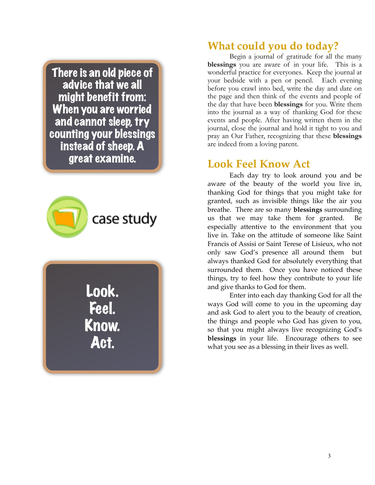There is an old piece of advice that we all might benefit from: When you are worried and cannot sleep, try counting your blessings instead of sheep. A great examine.



Look. Feel. Know. Act.

#### **What could you do today?**

Begin a journal of gratitude for all the many **blessings** you are aware of in your life. This is a wonderful practice for everyones. Keep the journal at your bedside with a pen or pencil. Each evening before you crawl into bed, write the day and date on the page and then think of the events and people of the day that have been **blessings** for you. Write them into the journal as a way of thanking God for these events and people. After having written them in the journal, close the journal and hold it tight to you and pray an Our Father, recognizing that these **blessings** are indeed from a loving parent.

#### **Look Feel Know Act**

 Each day try to look around you and be aware of the beauty of the world you live in, thanking God for things that you might take for granted, such as invisible things like the air you breathe. There are so many **blessings** surrounding us that we may take them for granted. Be especially attentive to the environment that you live in. Take on the attitude of someone like Saint Francis of Assisi or Saint Terese of Lisieux, who not only saw God's presence all around them but always thanked God for absolutely everything that surrounded them. Once you have noticed these things, try to feel how they contribute to your life and give thanks to God for them.

Enter into each day thanking God for all the ways God will come to you in the upcoming day and ask God to alert you to the beauty of creation, the things and people who God has given to you, so that you might always live recognizing God's **blessings** in your life. Encourage others to see what you see as a blessing in their lives as well.